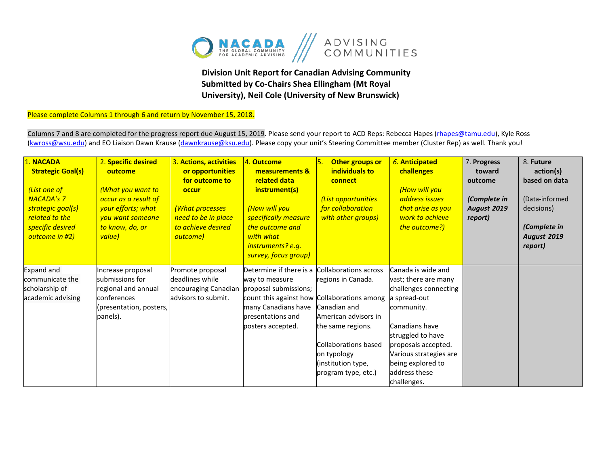

## **Division Unit Report for Canadian Advising Community Submitted by Co-Chairs Shea Ellingham (Mt Royal University), Neil Cole (University of New Brunswick)**

Please complete Columns 1 through 6 and return by November 15, 2018.

Columns 7 and 8 are completed for the progress report due August 15, 2019. Please send your report to ACD Reps: Rebecca Hapes (*rhapes@tamu.edu*), Kyle Ross [\(kwross@wsu.edu\)](mailto:kwross@wsu.edu) and EO Liaison Dawn Krause (dawnkrause@ksu.edu). Please copy your unit's Steering Committee member (Cluster Rep) as well. Thank you!

| <b>NACADA</b><br><b>Strategic Goal(s)</b><br>(List one of<br><b>NACADA's 7</b><br>strategic goal(s)<br>related to the<br>specific desired<br>outcome in #2) | 2. Specific desired<br>outcome<br>(What you want to<br>occur as a result of<br>your efforts; what<br>vou want someone<br>to know, do, or<br>value) | 3. Actions, activities<br>or opportunities<br>for outcome to<br>occur<br><b>(What processes</b><br>need to be in place<br>to achieve desired<br>outcome) | 4. Outcome<br>measurements &<br>related data<br>instrument(s)<br>(How will you<br>specifically measure<br>the outcome and<br>with what<br>instruments? e.g.<br>survey, focus group) | Other groups or<br>individuals to<br>connect<br>(List opportunities<br>for collaboration<br>with other groups)                                                                               | 6. Anticipated<br>challenges<br>(How will you<br>address issues<br>that arise as you<br>work to achieve<br>the outcome?)                                                                                                                       | 7. Progress<br>toward<br>outcome<br>(Complete in<br><b>August 2019</b><br>report) | 8. Future<br>action(s)<br>based on data<br>(Data-informed<br>decisions)<br>(Complete in<br>August 2019<br>report) |
|-------------------------------------------------------------------------------------------------------------------------------------------------------------|----------------------------------------------------------------------------------------------------------------------------------------------------|----------------------------------------------------------------------------------------------------------------------------------------------------------|-------------------------------------------------------------------------------------------------------------------------------------------------------------------------------------|----------------------------------------------------------------------------------------------------------------------------------------------------------------------------------------------|------------------------------------------------------------------------------------------------------------------------------------------------------------------------------------------------------------------------------------------------|-----------------------------------------------------------------------------------|-------------------------------------------------------------------------------------------------------------------|
| Expand and<br>communicate the<br>scholarship of<br>academic advising                                                                                        | Increase proposal<br>submissions for<br>regional and annual<br>conferences<br>(presentation, posters,<br>panels).                                  | Promote proposal<br>deadlines while<br>encouraging Canadian<br>advisors to submit.                                                                       | Determine if there is a<br>way to measure<br>proposal submissions;<br>count this against how Collaborations among<br>many Canadians have<br>bresentations and<br>posters accepted.  | Collaborations across<br>regions in Canada.<br>Canadian and<br>American advisors in<br>the same regions.<br>Collaborations based<br>on typology<br>(institution type,<br>program type, etc.) | Canada is wide and<br>vast; there are many<br>challenges connecting<br>a spread-out<br>community.<br>Canadians have<br>struggled to have<br>proposals accepted.<br>Various strategies are<br>being explored to<br>address these<br>challenges. |                                                                                   |                                                                                                                   |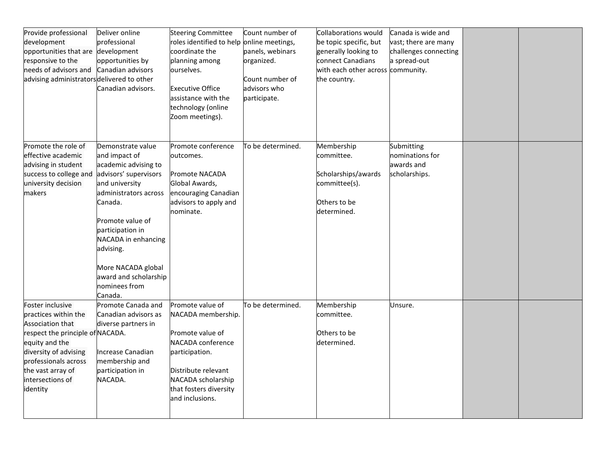| Provide professional<br>Deliver online<br>development<br>professional<br>opportunities that are development<br>opportunities by<br>responsive to the<br>needs of advisors and<br>Canadian advisors<br>advising administrators delivered to other<br>Canadian advisors.                                                                                                                                                          | <b>Steering Committee</b><br>roles identified to help online meetings,<br>coordinate the<br>planning among<br>ourselves.<br><b>Executive Office</b><br>assistance with the<br>technology (online<br>Zoom meetings). | Count number of<br>panels, webinars<br>organized.<br>Count number of<br>advisors who<br>participate. | Collaborations would<br>be topic specific, but<br>generally looking to<br>connect Canadians<br>with each other across community.<br>the country. | Canada is wide and<br>vast; there are many<br>challenges connecting<br>a spread-out |  |
|---------------------------------------------------------------------------------------------------------------------------------------------------------------------------------------------------------------------------------------------------------------------------------------------------------------------------------------------------------------------------------------------------------------------------------|---------------------------------------------------------------------------------------------------------------------------------------------------------------------------------------------------------------------|------------------------------------------------------------------------------------------------------|--------------------------------------------------------------------------------------------------------------------------------------------------|-------------------------------------------------------------------------------------|--|
| Promote the role of<br>Demonstrate value<br>effective academic<br>and impact of<br>advising in student<br>academic advising to<br>advisors' supervisors<br>success to college and<br>university decision<br>and university<br>makers<br>administrators across<br>Canada.<br>Promote value of<br>participation in<br>NACADA in enhancing<br>advising.<br>More NACADA global<br>award and scholarship<br>nominees from<br>Canada. | Promote conference<br>outcomes.<br><b>Promote NACADA</b><br>Global Awards,<br>encouraging Canadian<br>advisors to apply and<br>nominate.                                                                            | To be determined.                                                                                    | Membership<br>committee.<br>Scholarships/awards<br>committee(s).<br>Others to be<br>determined.                                                  | Submitting<br>nominations for<br>lawards and<br>scholarships.                       |  |
| Foster inclusive<br>Promote Canada and<br>practices within the<br>Canadian advisors as<br>Association that<br>diverse partners in<br>respect the principle of NACADA.<br>equity and the<br>diversity of advising<br>Increase Canadian<br>professionals across<br>membership and<br>the vast array of<br>participation in<br>NACADA.<br>intersections of<br>identity                                                             | Promote value of<br>NACADA membership.<br>Promote value of<br>NACADA conference<br>participation.<br>Distribute relevant<br>NACADA scholarship<br>that fosters diversity<br>and inclusions.                         | To be determined.                                                                                    | Membership<br>committee.<br>Others to be<br>determined.                                                                                          | Unsure.                                                                             |  |